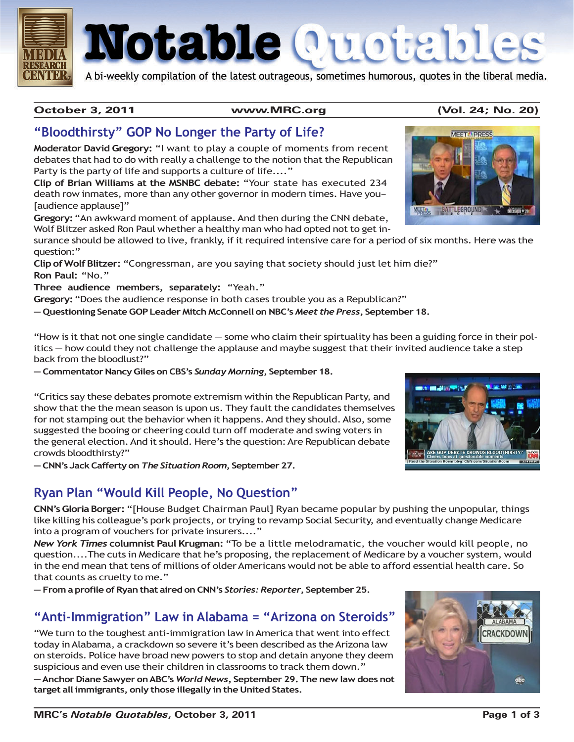

# Notable Quotable

A bi-weekly compilation of the latest outrageous, sometimes humorous, quotes in the liberal media.

#### **October 3, 2011 www.MRC.org (Vol. 24; No. 20)**

#### **"Bloodthirsty" GOP No Longer the Party of Life?**

**Moderator David Gregory:** "I want to play a couple of moments from recent debates that had to do with really a challenge to the notion that the Republican Party is the party of life and supports a culture of life...."

**Clip of Brian Williams at the MSNBC debate:** "Your state has executed 234 death row inmates, more than any other governor in modern times. Have you– [audience applause]"

**Gregory:** "An awkward moment of applause. And then during the CNN debate, Wolf Blitzer asked Ron Paul whether a healthy man who had opted not to get in-

surance should be allowed to live, frankly, if it required intensive care for a period of six months. Here was the question:"

**Clip of Wolf Blitzer:** "Congressman, are you saying that society should just let him die?" **Ron Paul:** "No."

**Three audience members, separately:** "Yeah."

**Gregory:** "Does the audience response in both cases trouble you as a Republican?"

**— Questioning Senate GOP Leader Mitch McConnell on NBC's** *Meet the Press***, September 18.**

"How is it that not one single candidate — some who claim their spirtuality has been a guiding force in their politics — how could they not challenge the applause and maybe suggest that their invited audience take a step back from the bloodlust?"

**— Commentator Nancy Giles on CBS's** *Sunday Morning***, September 18.**

"Critics say these debates promote extremism within the Republican Party, and show that the the mean season is upon us. They fault the candidates themselves for not stamping out the behavior when it happens. And they should. Also, some suggested the booing or cheering could turn off moderate and swing voters in the general election. And it should. Here's the question: Are Republican debate crowds bloodthirsty?"

**— CNN's Jack Cafferty on** *The Situation Room***, September 27.**

#### **Ryan Plan "Would Kill People, No Question"**

**CNN's Gloria Borger:** "[House Budget Chairman Paul] Ryan became popular by pushing the unpopular, things like killing his colleague's pork projects, or trying to revamp Social Security, and eventually change Medicare into a program of vouchers for private insurers...."

*New York Times* **columnist Paul Krugman:** "To be a little melodramatic, the voucher would kill people, no question....The cuts in Medicare that he's proposing, the replacement of Medicare by a voucher system, would in the end mean that tens of millions of older Americans would not be able to afford essential health care. So that counts as cruelty to me."

**— From a profile of Ryan that aired on CNN's** *Stories: Reporter***, September 25.**

#### **"Anti-Immigration" Law in Alabama = "Arizona on Steroids"**

"We turn to the toughest anti-immigration law in America that went into effect today in Alabama, a crackdown so severe it's been described as the Arizona law on steroids. Police have broad new powers to stop and detain anyone they deem suspicious and even use their children in classrooms to track them down."

**— Anchor Diane Sawyer on ABC's** *World News***, September 29. The new law does not target all immigrants, only those illegally in the United States.**





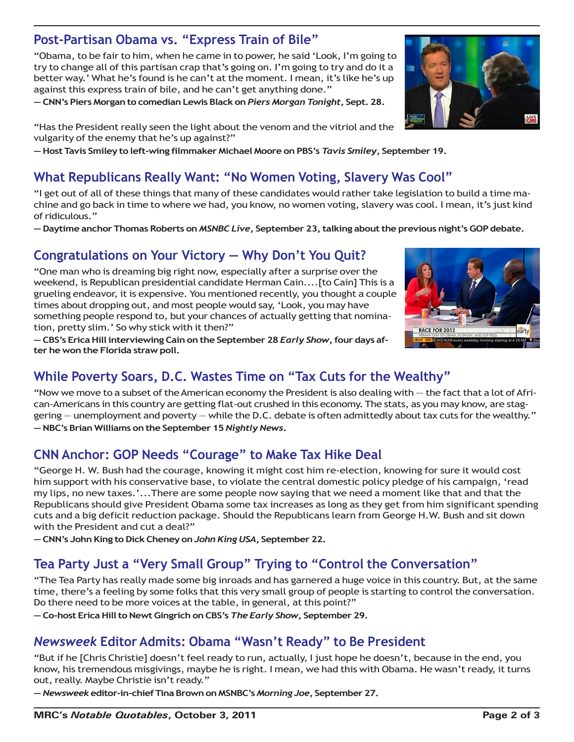## **Post-Partisan Obama vs. "Express Train of Bile"**

"Obama, to be fair to him, when he came in to power, he said 'Look, I'm going to try to change all of this partisan crap that's going on. I'm going to try and do it a better way.' What he's found is he can't at the moment. I mean, it's like he's up against this express train of bile, and he can't get anything done."

**— CNN's Piers Morgan to comedian Lewis Black on** *Piers Morgan Tonight***, Sept. 28.**

"Has the President really seen the light about the venom and the vitriol and the vulgarity of the enemy that he's up against?"

**— Host Tavis Smiley to left-wing filmmaker Michael Moore on PBS's** *Tavis Smiley***, September 19.**

#### **What Republicans Really Want: "No Women Voting, Slavery Was Cool"**

"I get out of all of these things that many of these candidates would rather take legislation to build a time machine and go back in time to where we had, you know, no women voting, slavery was cool. I mean, it's just kind of ridiculous."

**— Daytime anchor Thomas Roberts on** *MSNBC Live***, September 23, talking about the previous night's GOP debate.**

## **Congratulations on Your Victory — Why Don't You Quit?**

"One man who is dreaming big right now, especially after a surprise over the weekend, is Republican presidential candidate Herman Cain....[to Cain] This is a grueling endeavor, it is expensive. You mentioned recently, you thought a couple times about dropping out, and most people would say, 'Look, you may have something people respond to, but your chances of actually getting that nomination, pretty slim.' So why stick with it then?"

**— CBS's Erica Hill interviewing Cain on the September 28** *Early Show***, four days after he won the Florida straw poll.**

# **While Poverty Soars, D.C. Wastes Time on "Tax Cuts for the Wealthy"**

"Now we move to a subset of the American economy the President is also dealing with — the fact that a lot of African-Americans in this country are getting flat-out crushed in this economy. The stats, as you may know, are staggering — unemployment and poverty — while the D.C. debate is often admittedly about tax cuts for the wealthy." **— NBC's Brian Williams on the September 15** *Nightly News***.**

## **CNN Anchor: GOP Needs "Courage" to Make Tax Hike Deal**

"George H. W. Bush had the courage, knowing it might cost him re-election, knowing for sure it would cost him support with his conservative base, to violate the central domestic policy pledge of his campaign, 'read my lips, no new taxes.'...There are some people now saying that we need a moment like that and that the Republicans should give President Obama some tax increases as long as they get from him significant spending cuts and a big deficit reduction package. Should the Republicans learn from George H.W. Bush and sit down with the President and cut a deal?"

**— CNN's John King to Dick Cheney on** *John King USA***, September 22.**

## **Tea Party Just a "Very Small Group" Trying to "Control the Conversation"**

"The Tea Party has really made some big inroads and has garnered a huge voice in this country. But, at the same time, there's a feeling by some folks that this very small group of people is starting to control the conversation. Do there need to be more voices at the table, in general, at this point?"

**— Co-host Erica Hill to Newt Gingrich on CBS's** *The Early Show***, September 29.**

## *Newsweek* **Editor Admits: Obama "Wasn't Ready" to Be President**

"But if he [Chris Christie] doesn't feel ready to run, actually, I just hope he doesn't, because in the end, you know, his tremendous misgivings, maybe he is right. I mean, we had this with Obama. He wasn't ready, it turns out, really. Maybe Christie isn't ready."

**—** *Newsweek* **editor-in-chief Tina Brown on MSNBC's** *Morning Joe***, September 27.**